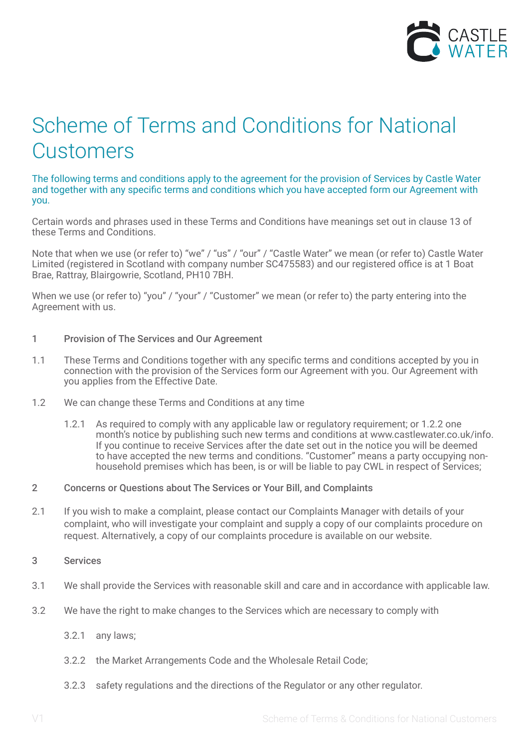

# Scheme of Terms and Conditions for National **Customers**

The following terms and conditions apply to the agreement for the provision of Services by Castle Water and together with any specific terms and conditions which you have accepted form our Agreement with you.

Certain words and phrases used in these Terms and Conditions have meanings set out in clause 13 of these Terms and Conditions.

Note that when we use (or refer to) "we" / "us" / "our" / "Castle Water" we mean (or refer to) Castle Water Limited (registered in Scotland with company number SC475583) and our registered office is at 1 Boat Brae, Rattray, Blairgowrie, Scotland, PH10 7BH.

When we use (or refer to) "you" / "your" / "Customer" we mean (or refer to) the party entering into the Agreement with us.

## 1 Provision of The Services and Our Agreement

- 1.1 These Terms and Conditions together with any specific terms and conditions accepted by you in connection with the provision of the Services form our Agreement with you. Our Agreement with you applies from the Effective Date.
- 1.2 We can change these Terms and Conditions at any time
	- 1.2.1 As required to comply with any applicable law or regulatory requirement; or 1.2.2 one month's notice by publishing such new terms and conditions at www.castlewater.co.uk/info. If you continue to receive Services after the date set out in the notice you will be deemed to have accepted the new terms and conditions. "Customer" means a party occupying nonhousehold premises which has been, is or will be liable to pay CWL in respect of Services;
- 2 Concerns or Questions about The Services or Your Bill, and Complaints
- 2.1 If you wish to make a complaint, please contact our Complaints Manager with details of your complaint, who will investigate your complaint and supply a copy of our complaints procedure on request. Alternatively, a copy of our complaints procedure is available on our website.
- 3 Services
- 3.1 We shall provide the Services with reasonable skill and care and in accordance with applicable law.
- 3.2 We have the right to make changes to the Services which are necessary to comply with
	- 3.2.1 any laws;
	- 3.2.2 the Market Arrangements Code and the Wholesale Retail Code;
	- 3.2.3 safety regulations and the directions of the Regulator or any other regulator.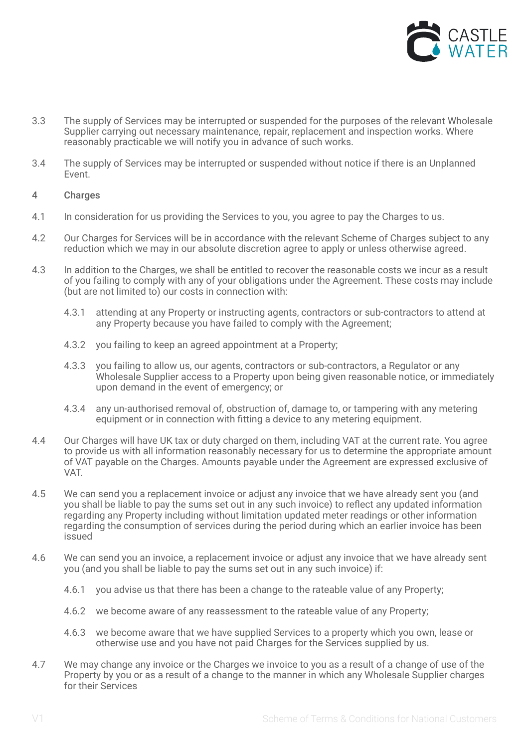

- 3.3 The supply of Services may be interrupted or suspended for the purposes of the relevant Wholesale Supplier carrying out necessary maintenance, repair, replacement and inspection works. Where reasonably practicable we will notify you in advance of such works.
- 3.4 The supply of Services may be interrupted or suspended without notice if there is an Unplanned Event.
- 4 Charges
- 4.1 In consideration for us providing the Services to you, you agree to pay the Charges to us.
- 4.2 Our Charges for Services will be in accordance with the relevant Scheme of Charges subject to any reduction which we may in our absolute discretion agree to apply or unless otherwise agreed.
- 4.3 In addition to the Charges, we shall be entitled to recover the reasonable costs we incur as a result of you failing to comply with any of your obligations under the Agreement. These costs may include (but are not limited to) our costs in connection with:
	- 4.3.1 attending at any Property or instructing agents, contractors or sub-contractors to attend at any Property because you have failed to comply with the Agreement;
	- 4.3.2 you failing to keep an agreed appointment at a Property;
	- 4.3.3 you failing to allow us, our agents, contractors or sub-contractors, a Regulator or any Wholesale Supplier access to a Property upon being given reasonable notice, or immediately upon demand in the event of emergency; or
	- 4.3.4 any un-authorised removal of, obstruction of, damage to, or tampering with any metering equipment or in connection with fitting a device to any metering equipment.
- 4.4 Our Charges will have UK tax or duty charged on them, including VAT at the current rate. You agree to provide us with all information reasonably necessary for us to determine the appropriate amount of VAT payable on the Charges. Amounts payable under the Agreement are expressed exclusive of VAT.
- 4.5 We can send you a replacement invoice or adjust any invoice that we have already sent you (and you shall be liable to pay the sums set out in any such invoice) to reflect any updated information regarding any Property including without limitation updated meter readings or other information regarding the consumption of services during the period during which an earlier invoice has been issued
- 4.6 We can send you an invoice, a replacement invoice or adjust any invoice that we have already sent you (and you shall be liable to pay the sums set out in any such invoice) if:
	- 4.6.1 you advise us that there has been a change to the rateable value of any Property;
	- 4.6.2 we become aware of any reassessment to the rateable value of any Property;
	- 4.6.3 we become aware that we have supplied Services to a property which you own, lease or otherwise use and you have not paid Charges for the Services supplied by us.
- 4.7 We may change any invoice or the Charges we invoice to you as a result of a change of use of the Property by you or as a result of a change to the manner in which any Wholesale Supplier charges for their Services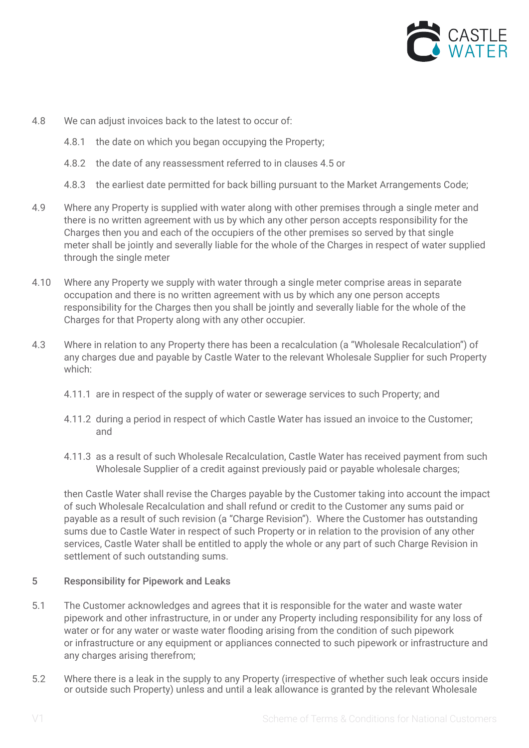

- 4.8 We can adjust invoices back to the latest to occur of:
	- 4.8.1 the date on which you began occupying the Property;
	- 4.8.2 the date of any reassessment referred to in clauses 4.5 or
	- 4.8.3 the earliest date permitted for back billing pursuant to the Market Arrangements Code;
- 4.9 Where any Property is supplied with water along with other premises through a single meter and there is no written agreement with us by which any other person accepts responsibility for the Charges then you and each of the occupiers of the other premises so served by that single meter shall be jointly and severally liable for the whole of the Charges in respect of water supplied through the single meter
- 4.10 Where any Property we supply with water through a single meter comprise areas in separate occupation and there is no written agreement with us by which any one person accepts responsibility for the Charges then you shall be jointly and severally liable for the whole of the Charges for that Property along with any other occupier.
- 4.3 Where in relation to any Property there has been a recalculation (a "Wholesale Recalculation") of any charges due and payable by Castle Water to the relevant Wholesale Supplier for such Property which:
	- 4.11.1 are in respect of the supply of water or sewerage services to such Property; and
	- 4.11.2 during a period in respect of which Castle Water has issued an invoice to the Customer; and
	- 4.11.3 as a result of such Wholesale Recalculation, Castle Water has received payment from such Wholesale Supplier of a credit against previously paid or payable wholesale charges;

then Castle Water shall revise the Charges payable by the Customer taking into account the impact of such Wholesale Recalculation and shall refund or credit to the Customer any sums paid or payable as a result of such revision (a "Charge Revision"). Where the Customer has outstanding sums due to Castle Water in respect of such Property or in relation to the provision of any other services, Castle Water shall be entitled to apply the whole or any part of such Charge Revision in settlement of such outstanding sums.

# 5 Responsibility for Pipework and Leaks

- 5.1 The Customer acknowledges and agrees that it is responsible for the water and waste water pipework and other infrastructure, in or under any Property including responsibility for any loss of water or for any water or waste water flooding arising from the condition of such pipework or infrastructure or any equipment or appliances connected to such pipework or infrastructure and any charges arising therefrom;
- 5.2 Where there is a leak in the supply to any Property (irrespective of whether such leak occurs inside or outside such Property) unless and until a leak allowance is granted by the relevant Wholesale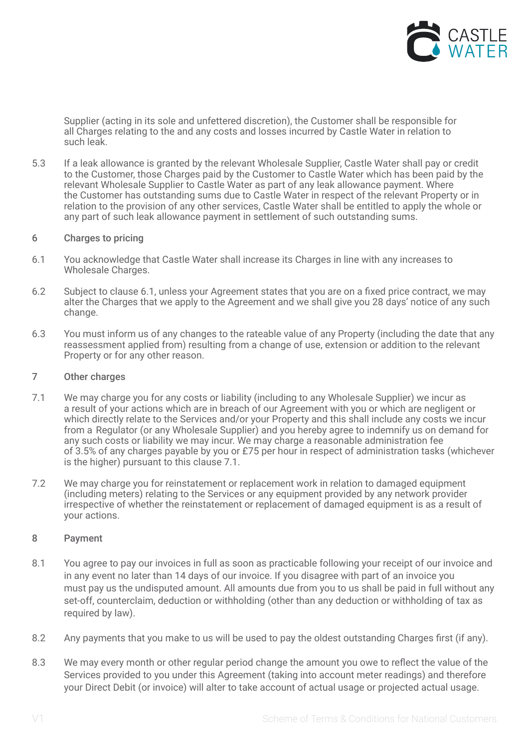

Supplier (acting in its sole and unfettered discretion), the Customer shall be responsible for all Charges relating to the and any costs and losses incurred by Castle Water in relation to such leak.

5.3 If a leak allowance is granted by the relevant Wholesale Supplier, Castle Water shall pay or credit to the Customer, those Charges paid by the Customer to Castle Water which has been paid by the relevant Wholesale Supplier to Castle Water as part of any leak allowance payment. Where the Customer has outstanding sums due to Castle Water in respect of the relevant Property or in relation to the provision of any other services, Castle Water shall be entitled to apply the whole or any part of such leak allowance payment in settlement of such outstanding sums.

### 6 Charges to pricing

- 6.1 You acknowledge that Castle Water shall increase its Charges in line with any increases to Wholesale Charges.
- 6.2 Subject to clause 6.1, unless your Agreement states that you are on a fixed price contract, we may alter the Charges that we apply to the Agreement and we shall give you 28 days' notice of any such change.
- 6.3 You must inform us of any changes to the rateable value of any Property (including the date that any reassessment applied from) resulting from a change of use, extension or addition to the relevant Property or for any other reason.

## 7 Other charges

- 7.1 We may charge you for any costs or liability (including to any Wholesale Supplier) we incur as a result of your actions which are in breach of our Agreement with you or which are negligent or which directly relate to the Services and/or your Property and this shall include any costs we incur from a Regulator (or any Wholesale Supplier) and you hereby agree to indemnify us on demand for any such costs or liability we may incur. We may charge a reasonable administration fee of 3.5% of any charges payable by you or £75 per hour in respect of administration tasks (whichever is the higher) pursuant to this clause 7.1.
- 7.2 We may charge you for reinstatement or replacement work in relation to damaged equipment (including meters) relating to the Services or any equipment provided by any network provider irrespective of whether the reinstatement or replacement of damaged equipment is as a result of your actions.

# 8 Payment

- 8.1 You agree to pay our invoices in full as soon as practicable following your receipt of our invoice and in any event no later than 14 days of our invoice. If you disagree with part of an invoice you must pay us the undisputed amount. All amounts due from you to us shall be paid in full without any set-off, counterclaim, deduction or withholding (other than any deduction or withholding of tax as required by law).
- 8.2 Any payments that you make to us will be used to pay the oldest outstanding Charges first (if any).
- 8.3 We may every month or other regular period change the amount you owe to reflect the value of the Services provided to you under this Agreement (taking into account meter readings) and therefore your Direct Debit (or invoice) will alter to take account of actual usage or projected actual usage.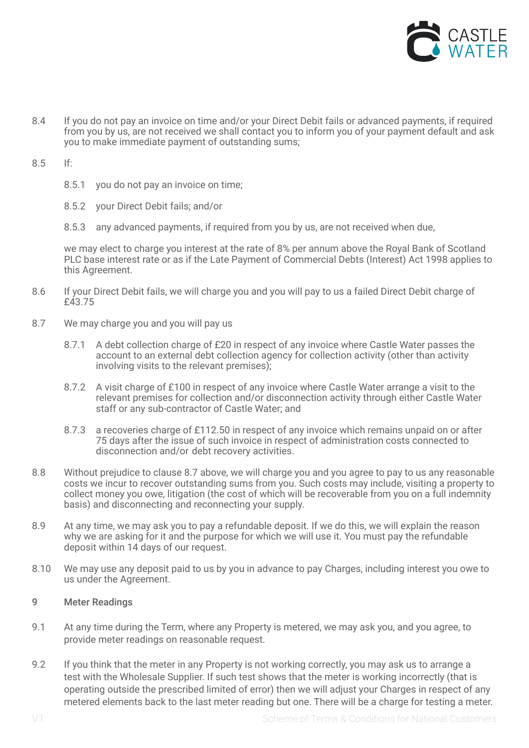

- 8.4 If you do not pay an invoice on time and/or your Direct Debit fails or advanced payments, if required from you by us, are not received we shall contact you to inform you of your payment default and ask you to make immediate payment of outstanding sums;
- 8.5 If:
	- 8.5.1 you do not pay an invoice on time;
	- 8.5.2 your Direct Debit fails; and/or
	- 8.5.3 any advanced payments, if required from you by us, are not received when due,

we may elect to charge you interest at the rate of 8% per annum above the Royal Bank of Scotland PLC base interest rate or as if the Late Payment of Commercial Debts (Interest) Act 1998 applies to this Agreement.

- 8.6 If your Direct Debit fails, we will charge you and you will pay to us a failed Direct Debit charge of £43.75
- 8.7 We may charge you and you will pay us
	- 8.7.1 A debt collection charge of £20 in respect of any invoice where Castle Water passes the account to an external debt collection agency for collection activity (other than activity involving visits to the relevant premises);
	- 8.7.2 A visit charge of £100 in respect of any invoice where Castle Water arrange a visit to the relevant premises for collection and/or disconnection activity through either Castle Water staff or any sub-contractor of Castle Water; and
	- 8.7.3 a recoveries charge of £112.50 in respect of any invoice which remains unpaid on or after 75 days after the issue of such invoice in respect of administration costs connected to disconnection and/or debt recovery activities.
- 8.8 Without prejudice to clause 8.7 above, we will charge you and you agree to pay to us any reasonable costs we incur to recover outstanding sums from you. Such costs may include, visiting a property to collect money you owe, litigation (the cost of which will be recoverable from you on a full indemnity basis) and disconnecting and reconnecting your supply.
- 8.9 At any time, we may ask you to pay a refundable deposit. If we do this, we will explain the reason why we are asking for it and the purpose for which we will use it. You must pay the refundable deposit within 14 days of our request.
- 8.10 We may use any deposit paid to us by you in advance to pay Charges, including interest you owe to us under the Agreement.

# 9 Meter Readings

- 9.1 At any time during the Term, where any Property is metered, we may ask you, and you agree, to provide meter readings on reasonable request.
- 9.2 If you think that the meter in any Property is not working correctly, you may ask us to arrange a test with the Wholesale Supplier. If such test shows that the meter is working incorrectly (that is operating outside the prescribed limited of error) then we will adjust your Charges in respect of any metered elements back to the last meter reading but one. There will be a charge for testing a meter.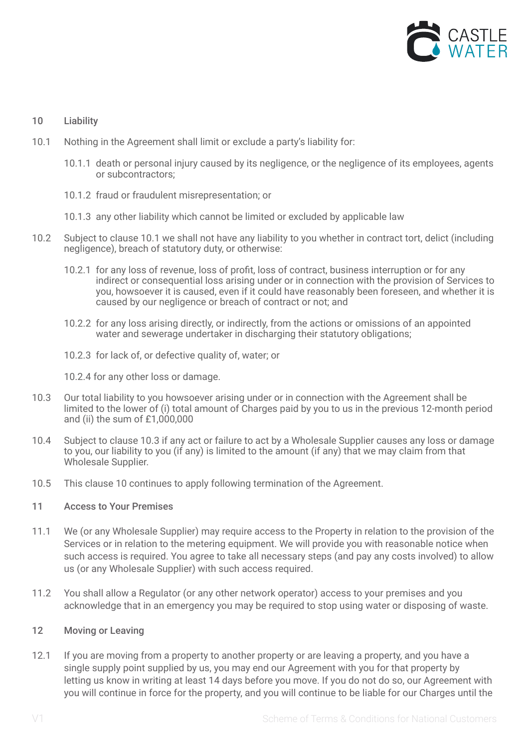

# 10 Liability

- 10.1 Nothing in the Agreement shall limit or exclude a party's liability for:
	- 10.1.1 death or personal injury caused by its negligence, or the negligence of its employees, agents or subcontractors;
	- 10.1.2 fraud or fraudulent misrepresentation; or
	- 10.1.3 any other liability which cannot be limited or excluded by applicable law
- 10.2 Subject to clause 10.1 we shall not have any liability to you whether in contract tort, delict (including negligence), breach of statutory duty, or otherwise:
	- 10.2.1 for any loss of revenue, loss of profit, loss of contract, business interruption or for any indirect or consequential loss arising under or in connection with the provision of Services to you, howsoever it is caused, even if it could have reasonably been foreseen, and whether it is caused by our negligence or breach of contract or not; and
	- 10.2.2 for any loss arising directly, or indirectly, from the actions or omissions of an appointed water and sewerage undertaker in discharging their statutory obligations;
	- 10.2.3 for lack of, or defective quality of, water; or
	- 10.2.4 for any other loss or damage.
- 10.3 Our total liability to you howsoever arising under or in connection with the Agreement shall be limited to the lower of (i) total amount of Charges paid by you to us in the previous 12-month period and (ii) the sum of £1,000,000
- 10.4 Subject to clause 10.3 if any act or failure to act by a Wholesale Supplier causes any loss or damage to you, our liability to you (if any) is limited to the amount (if any) that we may claim from that Wholesale Supplier.
- 10.5 This clause 10 continues to apply following termination of the Agreement.

### 11 Access to Your Premises

- 11.1 We (or any Wholesale Supplier) may require access to the Property in relation to the provision of the Services or in relation to the metering equipment. We will provide you with reasonable notice when such access is required. You agree to take all necessary steps (and pay any costs involved) to allow us (or any Wholesale Supplier) with such access required.
- 11.2 You shall allow a Regulator (or any other network operator) access to your premises and you acknowledge that in an emergency you may be required to stop using water or disposing of waste.

### 12 Moving or Leaving

12.1 If you are moving from a property to another property or are leaving a property, and you have a single supply point supplied by us, you may end our Agreement with you for that property by letting us know in writing at least 14 days before you move. If you do not do so, our Agreement with you will continue in force for the property, and you will continue to be liable for our Charges until the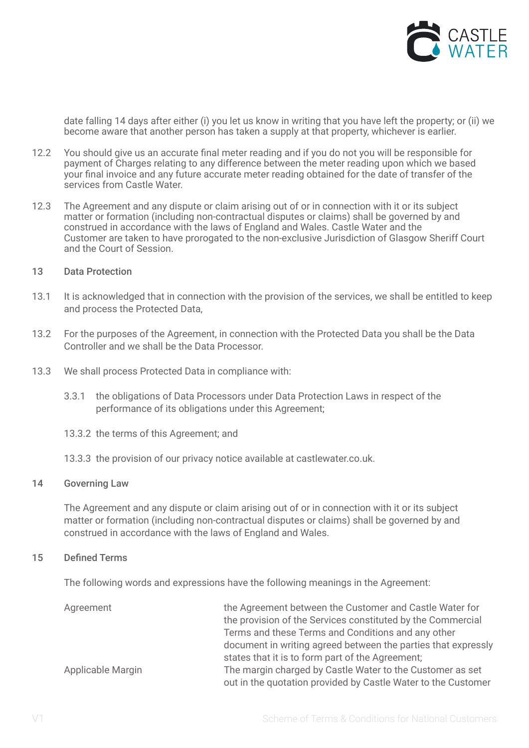

date falling 14 days after either (i) you let us know in writing that you have left the property; or (ii) we become aware that another person has taken a supply at that property, whichever is earlier.

- 12.2 You should give us an accurate final meter reading and if you do not you will be responsible for payment of Charges relating to any difference between the meter reading upon which we based your final invoice and any future accurate meter reading obtained for the date of transfer of the services from Castle Water.
- 12.3 The Agreement and any dispute or claim arising out of or in connection with it or its subject matter or formation (including non-contractual disputes or claims) shall be governed by and construed in accordance with the laws of England and Wales. Castle Water and the Customer are taken to have prorogated to the non-exclusive Jurisdiction of Glasgow Sheriff Court and the Court of Session.
- 13 Data Protection
- 13.1 It is acknowledged that in connection with the provision of the services, we shall be entitled to keep and process the Protected Data,
- 13.2 For the purposes of the Agreement, in connection with the Protected Data you shall be the Data Controller and we shall be the Data Processor.
- 13.3 We shall process Protected Data in compliance with:
	- 3.3.1 the obligations of Data Processors under Data Protection Laws in respect of the performance of its obligations under this Agreement;
	- 13.3.2 the terms of this Agreement; and
	- 13.3.3 the provision of our privacy notice available at castlewater.co.uk.

#### 14 Governing Law

The Agreement and any dispute or claim arising out of or in connection with it or its subject matter or formation (including non-contractual disputes or claims) shall be governed by and construed in accordance with the laws of England and Wales.

#### 15 Defined Terms

The following words and expressions have the following meanings in the Agreement:

| the Agreement between the Customer and Castle Water for                                                                    |
|----------------------------------------------------------------------------------------------------------------------------|
| the provision of the Services constituted by the Commercial                                                                |
| Terms and these Terms and Conditions and any other                                                                         |
| document in writing agreed between the parties that expressly                                                              |
| states that it is to form part of the Agreement;                                                                           |
| The margin charged by Castle Water to the Customer as set<br>out in the quotation provided by Castle Water to the Customer |
|                                                                                                                            |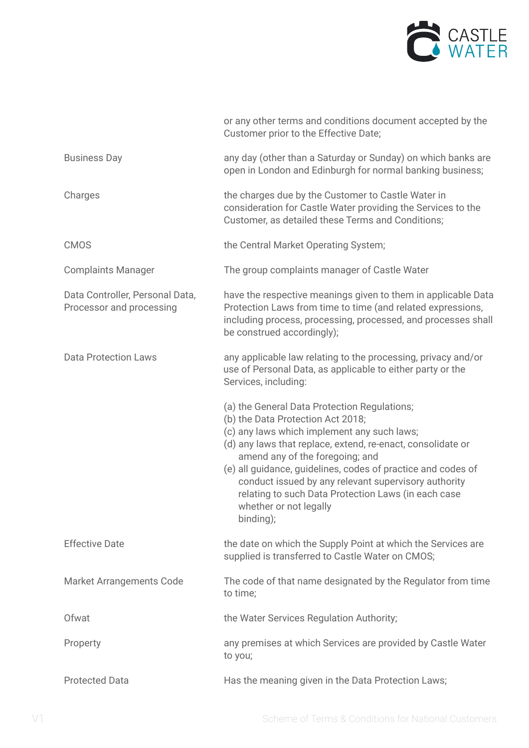

|                                                             | or any other terms and conditions document accepted by the<br>Customer prior to the Effective Date;                                                                                                                                                                                                                                                                                                                                                      |
|-------------------------------------------------------------|----------------------------------------------------------------------------------------------------------------------------------------------------------------------------------------------------------------------------------------------------------------------------------------------------------------------------------------------------------------------------------------------------------------------------------------------------------|
| <b>Business Day</b>                                         | any day (other than a Saturday or Sunday) on which banks are<br>open in London and Edinburgh for normal banking business;                                                                                                                                                                                                                                                                                                                                |
| Charges                                                     | the charges due by the Customer to Castle Water in<br>consideration for Castle Water providing the Services to the<br>Customer, as detailed these Terms and Conditions;                                                                                                                                                                                                                                                                                  |
| <b>CMOS</b>                                                 | the Central Market Operating System;                                                                                                                                                                                                                                                                                                                                                                                                                     |
| <b>Complaints Manager</b>                                   | The group complaints manager of Castle Water                                                                                                                                                                                                                                                                                                                                                                                                             |
| Data Controller, Personal Data,<br>Processor and processing | have the respective meanings given to them in applicable Data<br>Protection Laws from time to time (and related expressions,<br>including process, processing, processed, and processes shall<br>be construed accordingly);                                                                                                                                                                                                                              |
| <b>Data Protection Laws</b>                                 | any applicable law relating to the processing, privacy and/or<br>use of Personal Data, as applicable to either party or the<br>Services, including:                                                                                                                                                                                                                                                                                                      |
|                                                             | (a) the General Data Protection Regulations;<br>(b) the Data Protection Act 2018;<br>(c) any laws which implement any such laws;<br>(d) any laws that replace, extend, re-enact, consolidate or<br>amend any of the foregoing; and<br>(e) all guidance, guidelines, codes of practice and codes of<br>conduct issued by any relevant supervisory authority<br>relating to such Data Protection Laws (in each case<br>whether or not legally<br>binding); |
| <b>Effective Date</b>                                       | the date on which the Supply Point at which the Services are<br>supplied is transferred to Castle Water on CMOS;                                                                                                                                                                                                                                                                                                                                         |
| <b>Market Arrangements Code</b>                             | The code of that name designated by the Regulator from time<br>to time;                                                                                                                                                                                                                                                                                                                                                                                  |
| Ofwat                                                       | the Water Services Regulation Authority;                                                                                                                                                                                                                                                                                                                                                                                                                 |
| Property                                                    | any premises at which Services are provided by Castle Water<br>to you;                                                                                                                                                                                                                                                                                                                                                                                   |
| <b>Protected Data</b>                                       | Has the meaning given in the Data Protection Laws;                                                                                                                                                                                                                                                                                                                                                                                                       |